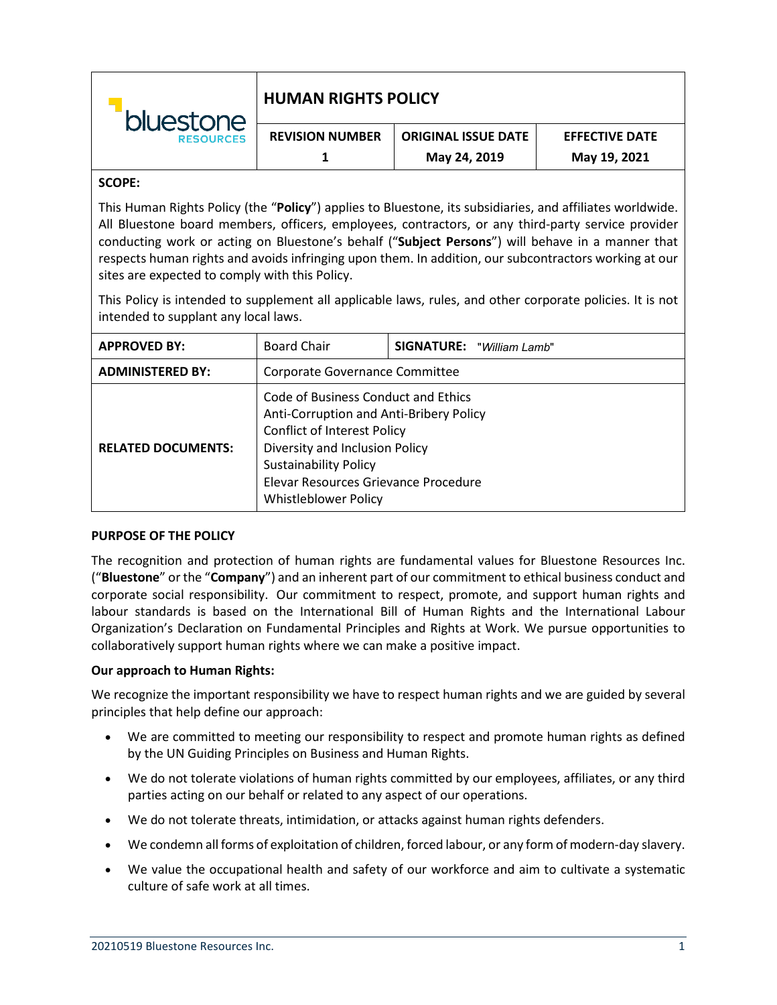| bluestone        | <b>HUMAN RIGHTS POLICY</b> |                            |                       |
|------------------|----------------------------|----------------------------|-----------------------|
| <b>RESOURCES</b> | <b>REVISION NUMBER</b>     | <b>ORIGINAL ISSUE DATE</b> | <b>EFFECTIVE DATE</b> |
|                  |                            | May 24, 2019               | May 19, 2021          |

# **SCOPE:**

This Human Rights Policy (the "**Policy**") applies to Bluestone, its subsidiaries, and affiliates worldwide. All Bluestone board members, officers, employees, contractors, or any third-party service provider conducting work or acting on Bluestone's behalf ("**Subject Persons**") will behave in a manner that respects human rights and avoids infringing upon them. In addition, our subcontractors working at our sites are expected to comply with this Policy.

This Policy is intended to supplement all applicable laws, rules, and other corporate policies. It is not intended to supplant any local laws.

| <b>APPROVED BY:</b>       | <b>Board Chair</b>                                                                                                                                                                                                                                            | <b>SIGNATURE:</b> "William Lamb" |  |
|---------------------------|---------------------------------------------------------------------------------------------------------------------------------------------------------------------------------------------------------------------------------------------------------------|----------------------------------|--|
| <b>ADMINISTERED BY:</b>   | Corporate Governance Committee                                                                                                                                                                                                                                |                                  |  |
| <b>RELATED DOCUMENTS:</b> | Code of Business Conduct and Ethics<br>Anti-Corruption and Anti-Bribery Policy<br><b>Conflict of Interest Policy</b><br>Diversity and Inclusion Policy<br><b>Sustainability Policy</b><br>Elevar Resources Grievance Procedure<br><b>Whistleblower Policy</b> |                                  |  |

## **PURPOSE OF THE POLICY**

The recognition and protection of human rights are fundamental values for Bluestone Resources Inc. ("**Bluestone**" or the "**Company**") and an inherent part of our commitment to ethical business conduct and corporate social responsibility. Our commitment to respect, promote, and support human rights and labour standards is based on the International Bill of Human Rights and the International Labour Organization's Declaration on Fundamental Principles and Rights at Work. We pursue opportunities to collaboratively support human rights where we can make a positive impact.

## **Our approach to Human Rights:**

We recognize the important responsibility we have to respect human rights and we are guided by several principles that help define our approach:

- We are committed to meeting our responsibility to respect and promote human rights as defined by the UN Guiding Principles on Business and Human Rights.
- We do not tolerate violations of human rights committed by our employees, affiliates, or any third parties acting on our behalf or related to any aspect of our operations.
- We do not tolerate threats, intimidation, or attacks against human rights defenders.
- We condemn all forms of exploitation of children, forced labour, or any form of modern-day slavery.
- We value the occupational health and safety of our workforce and aim to cultivate a systematic culture of safe work at all times.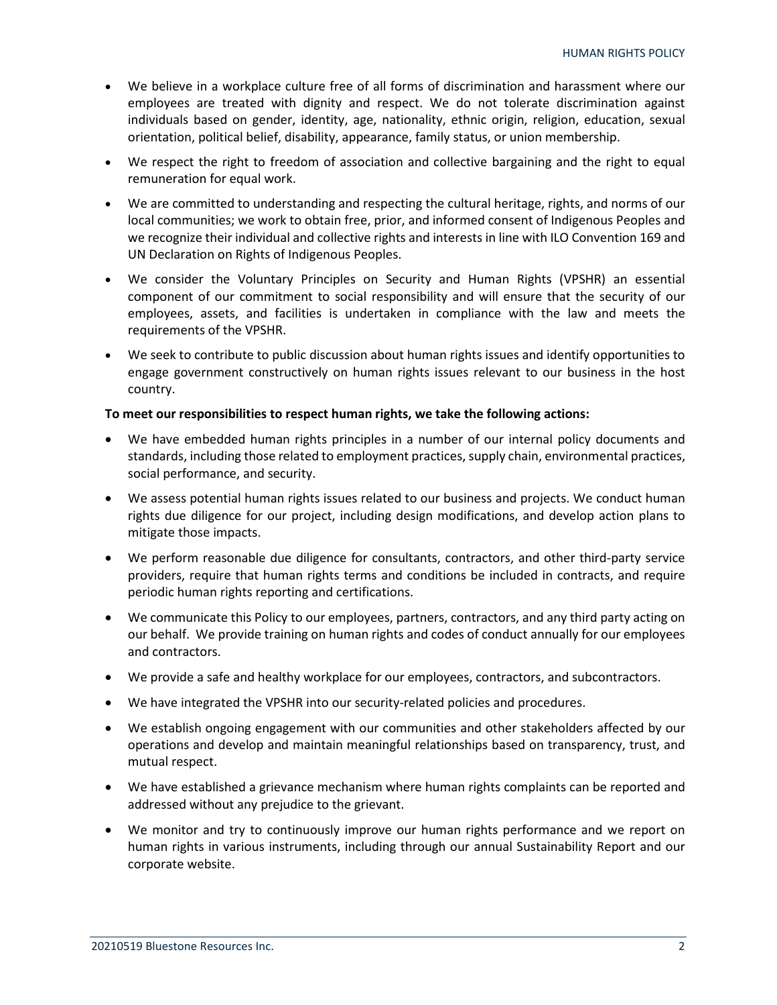- We believe in a workplace culture free of all forms of discrimination and harassment where our employees are treated with dignity and respect. We do not tolerate discrimination against individuals based on gender, identity, age, nationality, ethnic origin, religion, education, sexual orientation, political belief, disability, appearance, family status, or union membership.
- We respect the right to freedom of association and collective bargaining and the right to equal remuneration for equal work.
- We are committed to understanding and respecting the cultural heritage, rights, and norms of our local communities; we work to obtain free, prior, and informed consent of Indigenous Peoples and we recognize their individual and collective rights and interests in line with ILO Convention 169 and UN Declaration on Rights of Indigenous Peoples.
- We consider the Voluntary Principles on Security and Human Rights (VPSHR) an essential component of our commitment to social responsibility and will ensure that the security of our employees, assets, and facilities is undertaken in compliance with the law and meets the requirements of the VPSHR.
- We seek to contribute to public discussion about human rights issues and identify opportunities to engage government constructively on human rights issues relevant to our business in the host country.

# **To meet our responsibilities to respect human rights, we take the following actions:**

- We have embedded human rights principles in a number of our internal policy documents and standards, including those related to employment practices, supply chain, environmental practices, social performance, and security.
- We assess potential human rights issues related to our business and projects. We conduct human rights due diligence for our project, including design modifications, and develop action plans to mitigate those impacts.
- We perform reasonable due diligence for consultants, contractors, and other third-party service providers, require that human rights terms and conditions be included in contracts, and require periodic human rights reporting and certifications.
- We communicate this Policy to our employees, partners, contractors, and any third party acting on our behalf. We provide training on human rights and codes of conduct annually for our employees and contractors.
- We provide a safe and healthy workplace for our employees, contractors, and subcontractors.
- We have integrated the VPSHR into our security-related policies and procedures.
- We establish ongoing engagement with our communities and other stakeholders affected by our operations and develop and maintain meaningful relationships based on transparency, trust, and mutual respect.
- We have established a grievance mechanism where human rights complaints can be reported and addressed without any prejudice to the grievant.
- We monitor and try to continuously improve our human rights performance and we report on human rights in various instruments, including through our annual Sustainability Report and our corporate website.